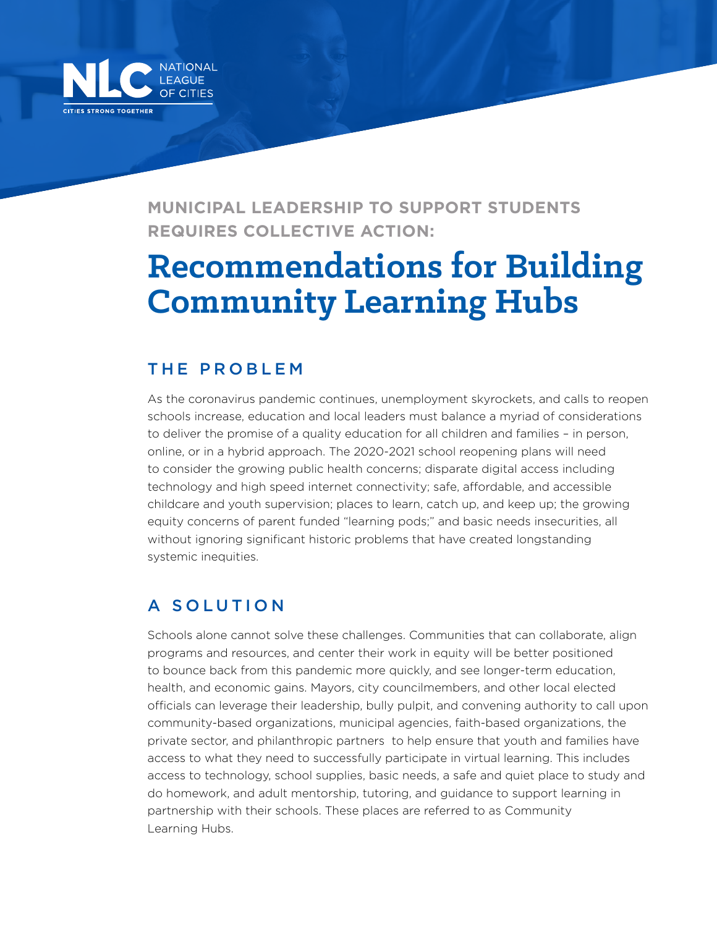

**MUNICIPAL LEADERSHIP TO SUPPORT STUDENTS REQUIRES COLLECTIVE ACTION:**

# **Recommendations for Building Community Learning Hubs**

#### THE PROBLEM

As the coronavirus pandemic continues, unemployment skyrockets, and calls to reopen schools increase, education and local leaders must balance a myriad of considerations to deliver the promise of a quality education for all children and families – in person, online, or in a hybrid approach. The 2020-2021 school reopening plans will need to consider the growing public health concerns; disparate digital access including technology and high speed internet connectivity; safe, affordable, and accessible childcare and youth supervision; places to learn, catch up, and keep up; the growing equity concerns of parent funded "learning pods;" and basic needs insecurities, all without ignoring significant historic problems that have created longstanding systemic inequities.

### A SOLUTION

Schools alone cannot solve these challenges. Communities that can collaborate, align programs and resources, and center their work in equity will be better positioned to bounce back from this pandemic more quickly, and see longer-term education, health, and economic gains. Mayors, city councilmembers, and other local elected officials can leverage their leadership, bully pulpit, and convening authority to call upon community-based organizations, municipal agencies, faith-based organizations, the private sector, and philanthropic partners to help ensure that youth and families have access to what they need to successfully participate in virtual learning. This includes access to technology, school supplies, basic needs, a safe and quiet place to study and do homework, and adult mentorship, tutoring, and guidance to support learning in partnership with their schools. These places are referred to as Community Learning Hubs.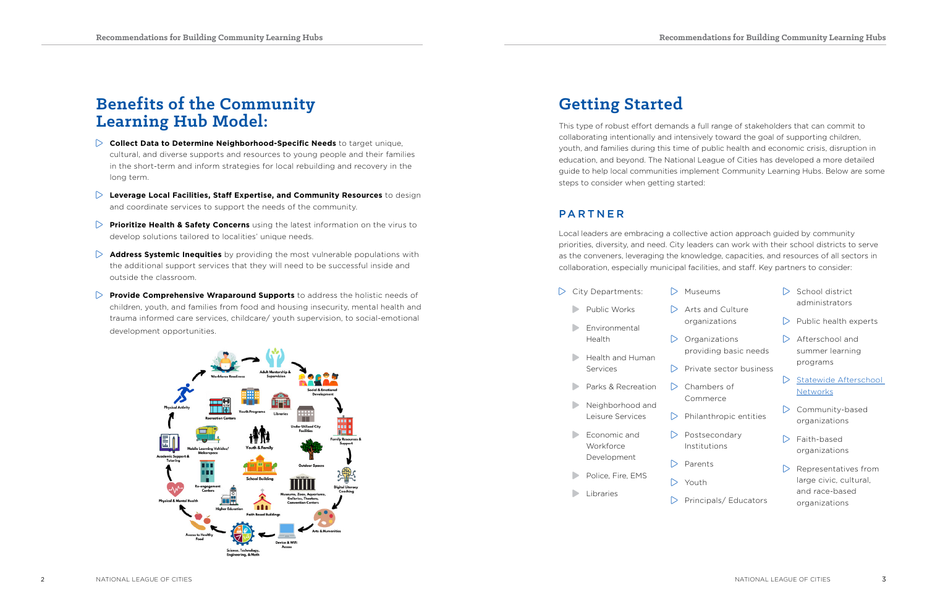## **Benefits of the Community Learning Hub Model:**

- **Collect Data to Determine Neighborhood-Specific Needs** to target unique, cultural, and diverse supports and resources to young people and their families in the short-term and inform strategies for local rebuilding and recovery in the long term.
- **Leverage Local Facilities, Staff Expertise, and Community Resources** to design and coordinate services to support the needs of the community.
- **Prioritize Health & Safety Concerns** using the latest information on the virus to develop solutions tailored to localities' unique needs.
- **Address Systemic Inequities** by providing the most vulnerable populations with the additional support services that they will need to be successful inside and outside the classroom.
- **Provide Comprehensive Wraparound Supports** to address the holistic needs of children, youth, and families from food and housing insecurity, mental health and trauma informed care services, childcare/ youth supervision, to social-emotional development opportunities.



- $\triangleright$  School district administrators
- $\triangleright$  Public health experts
- $\triangleright$  Afterschool and summer learning programs
- Statewide Afterschool **[Networks](http://www.statewideafterschoolnetworks.net/)**
- $\triangleright$  Community-based organizations
- $\triangleright$  Faith-based organizations
- $\triangleright$  Representatives from large civic, cultural, and race-based organizations

| City Departments: |                                          |   |
|-------------------|------------------------------------------|---|
|                   | Public Works                             |   |
|                   | Environmental<br>Health                  |   |
|                   | Health and Human<br>Services             |   |
|                   | Parks & Recreation                       | ∍ |
|                   | Neighborhood and<br>Leisure Services     |   |
|                   | Economic and<br>Workforce<br>Development |   |
|                   | Police, Fire, EMS                        |   |
|                   | Libraries                                |   |
|                   |                                          |   |

- Museums
- Arts and Culture organizations
- Organizations providing basic needs
- Private sector business
- Chambers of Commerce
- Philanthropic entities
- Postsecondary Institutions
- Parents
- Youth
- Principals/ Educators

# **Getting Started**

This type of robust effort demands a full range of stakeholders that can commit to collaborating intentionally and intensively toward the goal of supporting children, youth, and families during this time of public health and economic crisis, disruption in education, and beyond. The National League of Cities has developed a more detailed guide to help local communities implement Community Learning Hubs. Below are some steps to consider when getting started:

### **PARTNER**

Local leaders are embracing a collective action approach guided by community priorities, diversity, and need. City leaders can work with their school districts to serve as the conveners, leveraging the knowledge, capacities, and resources of all sectors in collaboration, especially municipal facilities, and staff. Key partners to consider: